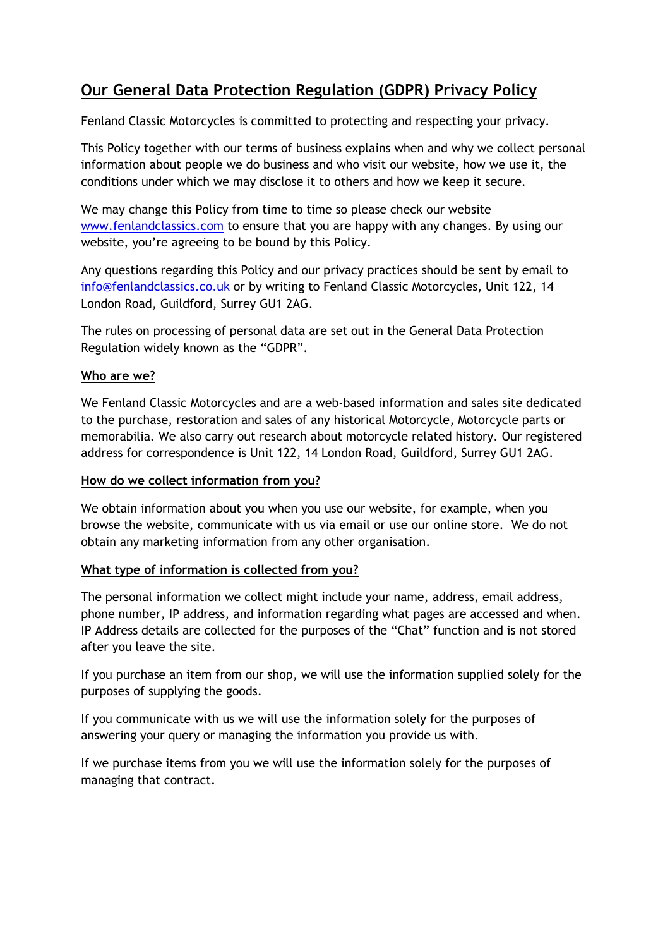# **Our General Data Protection Regulation (GDPR) Privacy Policy**

Fenland Classic Motorcycles is committed to protecting and respecting your privacy.

This Policy together with our terms of business explains when and why we collect personal information about people we do business and who visit our website, how we use it, the conditions under which we may disclose it to others and how we keep it secure.

We may change this Policy from time to time so please check our website [www.fenlandclassics.com](http://www.fenlandclassics.com/) to ensure that you are happy with any changes. By using our website, you're agreeing to be bound by this Policy.

Any questions regarding this Policy and our privacy practices should be sent by email to [info@fenlandclassics.co.uk](mailto:info@fenlandclassics.co.uk) or by writing to Fenland Classic Motorcycles, Unit 122, 14 London Road, Guildford, Surrey GU1 2AG.

The rules on processing of personal data are set out in the General Data Protection Regulation widely known as the "GDPR".

# **Who are we?**

We Fenland Classic Motorcycles and are a web-based information and sales site dedicated to the purchase, restoration and sales of any historical Motorcycle, Motorcycle parts or memorabilia. We also carry out research about motorcycle related history. Our registered address for correspondence is Unit 122, 14 London Road, Guildford, Surrey GU1 2AG.

## **How do we collect information from you?**

We obtain information about you when you use our website, for example, when you browse the website, communicate with us via email or use our online store. We do not obtain any marketing information from any other organisation.

## **What type of information is collected from you?**

The personal information we collect might include your name, address, email address, phone number, IP address, and information regarding what pages are accessed and when. IP Address details are collected for the purposes of the "Chat" function and is not stored after you leave the site.

If you purchase an item from our shop, we will use the information supplied solely for the purposes of supplying the goods.

If you communicate with us we will use the information solely for the purposes of answering your query or managing the information you provide us with.

If we purchase items from you we will use the information solely for the purposes of managing that contract.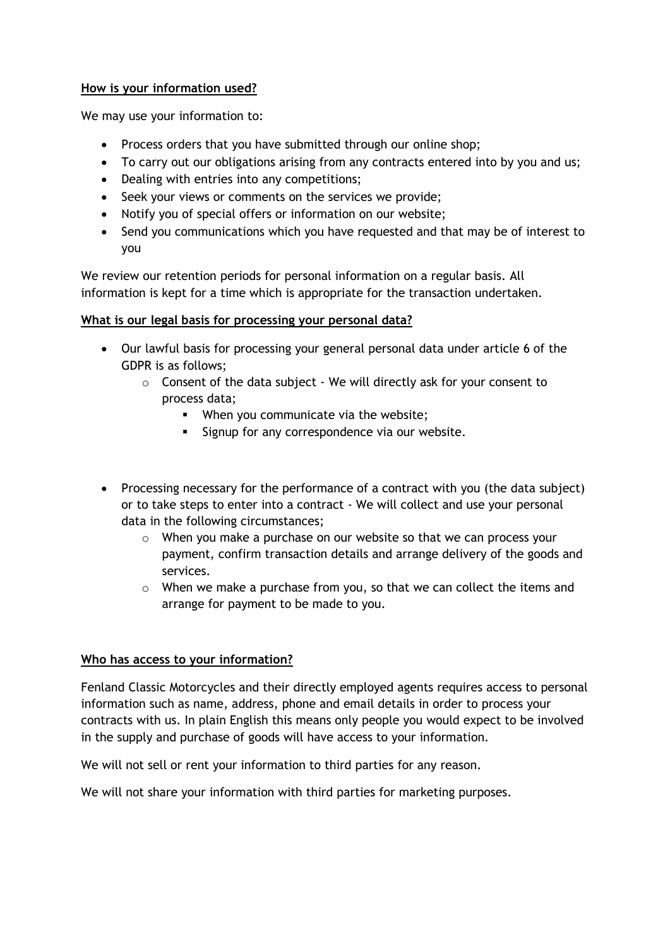#### **How is your information used?**

We may use your information to:

- Process orders that you have submitted through our online shop;
- To carry out our obligations arising from any contracts entered into by you and us;
- Dealing with entries into any competitions;
- Seek your views or comments on the services we provide;
- Notify you of special offers or information on our website;
- Send you communications which you have requested and that may be of interest to you

We review our retention periods for personal information on a regular basis. All information is kept for a time which is appropriate for the transaction undertaken.

#### **What is our legal basis for processing your personal data?**

- Our lawful basis for processing your general personal data under article 6 of the GDPR is as follows;
	- $\circ$  Consent of the data subject We will directly ask for your consent to process data;
		- **■** When you communicate via the website;
		- **EXECT:** Signup for any correspondence via our website.
- Processing necessary for the performance of a contract with you (the data subject) or to take steps to enter into a contract - We will collect and use your personal data in the following circumstances;
	- o When you make a purchase on our website so that we can process your payment, confirm transaction details and arrange delivery of the goods and services.
	- $\circ$  When we make a purchase from you, so that we can collect the items and arrange for payment to be made to you.

## **Who has access to your information?**

Fenland Classic Motorcycles and their directly employed agents requires access to personal information such as name, address, phone and email details in order to process your contracts with us. In plain English this means only people you would expect to be involved in the supply and purchase of goods will have access to your information.

We will not sell or rent your information to third parties for any reason.

We will not share your information with third parties for marketing purposes.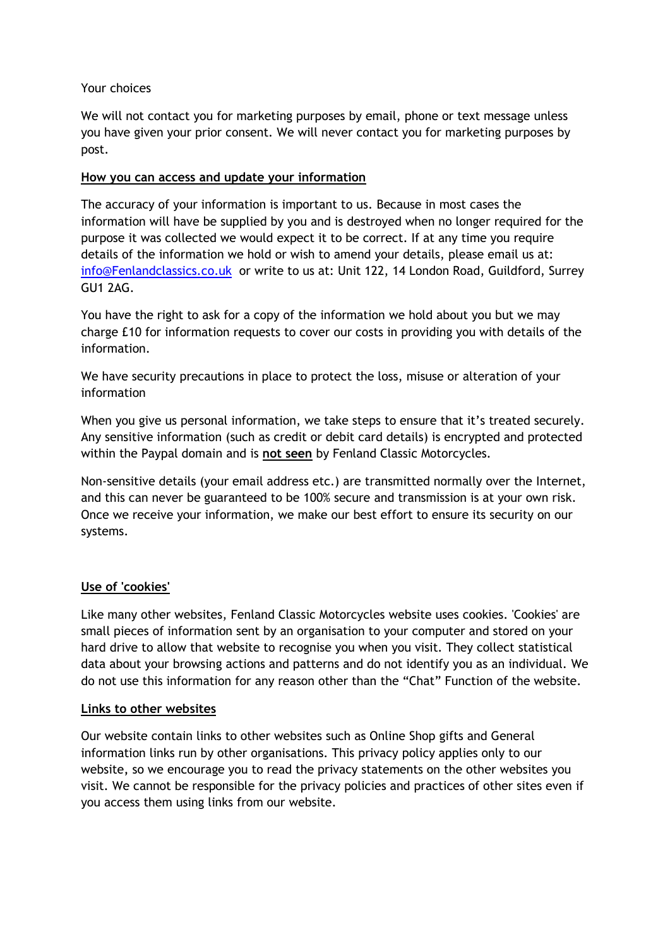#### Your choices

We will not contact you for marketing purposes by email, phone or text message unless you have given your prior consent. We will never contact you for marketing purposes by post.

## **How you can access and update your information**

The accuracy of your information is important to us. Because in most cases the information will have be supplied by you and is destroyed when no longer required for the purpose it was collected we would expect it to be correct. If at any time you require details of the information we hold or wish to amend your details, please email us at: [info@Fenlandclassics.co.uk](mailto:info@Fenlandclassics.co.uk) or write to us at: Unit 122, 14 London Road, Guildford, Surrey GU1 2AG.

You have the right to ask for a copy of the information we hold about you but we may charge £10 for information requests to cover our costs in providing you with details of the information.

We have security precautions in place to protect the loss, misuse or alteration of your information

When you give us personal information, we take steps to ensure that it's treated securely. Any sensitive information (such as credit or debit card details) is encrypted and protected within the Paypal domain and is **not seen** by Fenland Classic Motorcycles.

Non-sensitive details (your email address etc.) are transmitted normally over the Internet, and this can never be guaranteed to be 100% secure and transmission is at your own risk. Once we receive your information, we make our best effort to ensure its security on our systems.

## **Use of 'cookies'**

Like many other websites, Fenland Classic Motorcycles website uses cookies. 'Cookies' are small pieces of information sent by an organisation to your computer and stored on your hard drive to allow that website to recognise you when you visit. They collect statistical data about your browsing actions and patterns and do not identify you as an individual. We do not use this information for any reason other than the "Chat" Function of the website.

#### **Links to other websites**

Our website contain links to other websites such as Online Shop gifts and General information links run by other organisations. This privacy policy applies only to our website, so we encourage you to read the privacy statements on the other websites you visit. We cannot be responsible for the privacy policies and practices of other sites even if you access them using links from our website.